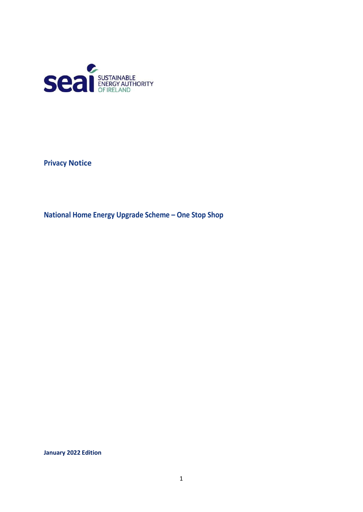

**Privacy Notice**

**National Home Energy Upgrade Scheme – One Stop Shop**

**January 2022 Edition**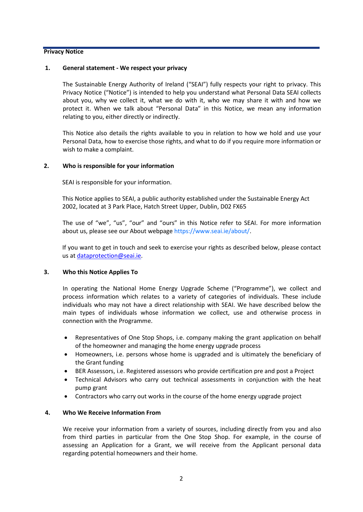#### **Privacy Notice**

#### **1. General statement - We respect your privacy**

The Sustainable Energy Authority of Ireland ("SEAI") fully respects your right to privacy. This Privacy Notice ("Notice") is intended to help you understand what Personal Data SEAI collects about you, why we collect it, what we do with it, who we may share it with and how we protect it. When we talk about "Personal Data" in this Notice, we mean any information relating to you, either directly or indirectly.

This Notice also details the rights available to you in relation to how we hold and use your Personal Data, how to exercise those rights, and what to do if you require more information or wish to make a complaint.

## **2. Who is responsible for your information**

SEAI is responsible for your information.

This Notice applies to SEAI, a public authority established under the Sustainable Energy Act 2002, located at 3 Park Place, Hatch Street Upper, Dublin, D02 FX65

The use of "we", "us", "our" and "ours" in this Notice refer to SEAI. For more information about us, please see our About webpage [https://www.seai.ie/about/.](https://www.seai.ie/about/)

If you want to get in touch and seek to exercise your rights as described below, please contact us at [dataprotection@seai.ie.](mailto:dataprotection@seai.ie)

## **3. Who this Notice Applies To**

In operating the National Home Energy Upgrade Scheme ("Programme"), we collect and process information which relates to a variety of categories of individuals. These include individuals who may not have a direct relationship with SEAI. We have described below the main types of individuals whose information we collect, use and otherwise process in connection with the Programme.

- Representatives of One Stop Shops, i.e. company making the grant application on behalf of the homeowner and managing the home energy upgrade process
- Homeowners, i.e. persons whose home is upgraded and is ultimately the beneficiary of the Grant funding
- BER Assessors, i.e. Registered assessors who provide certification pre and post a Project
- Technical Advisors who carry out technical assessments in conjunction with the heat pump grant
- Contractors who carry out works in the course of the home energy upgrade project

## **4. Who We Receive Information From**

We receive your information from a variety of sources, including directly from you and also from third parties in particular from the One Stop Shop. For example, in the course of assessing an Application for a Grant, we will receive from the Applicant personal data regarding potential homeowners and their home.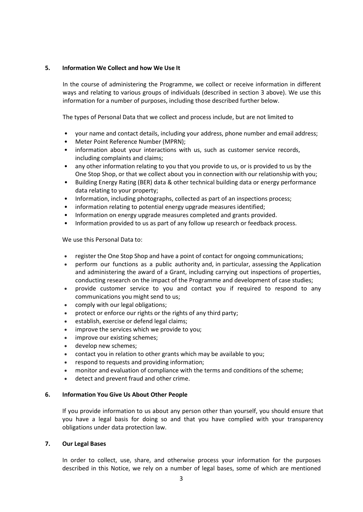# **5. Information We Collect and how We Use It**

In the course of administering the Programme, we collect or receive information in different ways and relating to various groups of individuals (described in section 3 above). We use this information for a number of purposes, including those described further below.

The types of Personal Data that we collect and process include, but are not limited to

- your name and contact details, including your address, phone number and email address;
- Meter Point Reference Number (MPRN);
- information about your interactions with us, such as customer service records, including complaints and claims;
- any other information relating to you that you provide to us, or is provided to us by the One Stop Shop, or that we collect about you in connection with our relationship with you;
- Building Energy Rating (BER) data & other technical building data or energy performance data relating to your property;
- Information, including photographs, collected as part of an inspections process;
- information relating to potential energy upgrade measures identified;
- Information on energy upgrade measures completed and grants provided.
- Information provided to us as part of any follow up research or feedback process.

We use this Personal Data to:

- register the One Stop Shop and have a point of contact for ongoing communications;
- perform our functions as a public authority and, in particular, assessing the Application and administering the award of a Grant, including carrying out inspections of properties, conducting research on the impact of the Programme and development of case studies;
- provide customer service to you and contact you if required to respond to any communications you might send to us;
- comply with our legal obligations;
- protect or enforce our rights or the rights of any third party;
- establish, exercise or defend legal claims;
- improve the services which we provide to you;
- improve our existing schemes;
- develop new schemes;
- contact you in relation to other grants which may be available to you;
- respond to requests and providing information;
- monitor and evaluation of compliance with the terms and conditions of the scheme;
- detect and prevent fraud and other crime.

## **6. Information You Give Us About Other People**

If you provide information to us about any person other than yourself, you should ensure that you have a legal basis for doing so and that you have complied with your transparency obligations under data protection law.

## **7. Our Legal Bases**

In order to collect, use, share, and otherwise process your information for the purposes described in this Notice, we rely on a number of legal bases, some of which are mentioned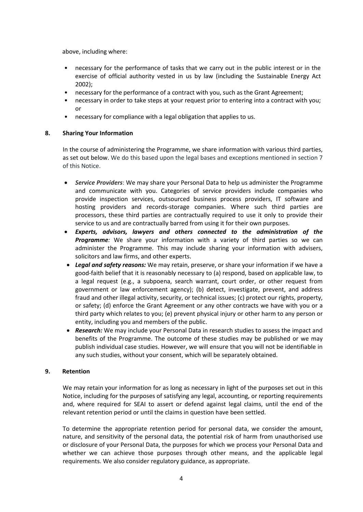above, including where:

- necessary for the performance of tasks that we carry out in the public interest or in the exercise of official authority vested in us by law (including the Sustainable Energy Act 2002);
- necessary for the performance of a contract with you, such as the Grant Agreement;
- necessary in order to take steps at your request prior to entering into a contract with you; or
- necessary for compliance with a legal obligation that applies to us.

## **8. Sharing Your Information**

In the course of administering the Programme, we share information with various third parties, as set out below. We do this based upon the legal bases and exceptions mentioned in section 7 of this Notice.

- *Service Providers*: We may share your Personal Data to help us administer the Programme and communicate with you. Categories of service providers include companies who provide inspection services, outsourced business process providers, IT software and hosting providers and records-storage companies. Where such third parties are processors, these third parties are contractually required to use it only to provide their service to us and are contractually barred from using it for their own purposes.
- *Experts, advisors, lawyers and others connected to the administration of the Programme:* We share your information with a variety of third parties so we can administer the Programme. This may include sharing your information with advisers, solicitors and law firms, and other experts.
- *Legal and safety reasons:* We may retain, preserve, or share your information if we have a good-faith belief that it is reasonably necessary to (a) respond, based on applicable law, to a legal request (e.g., a subpoena, search warrant, court order, or other request from government or law enforcement agency); (b) detect, investigate, prevent, and address fraud and other illegal activity, security, or technical issues; (c) protect our rights, property, or safety; (d) enforce the Grant Agreement or any other contracts we have with you or a third party which relates to you; (e) prevent physical injury or other harm to any person or entity, including you and members of the public.
- *Research:* We may include your Personal Data in research studies to assess the impact and benefits of the Programme. The outcome of these studies may be published or we may publish individual case studies. However, we will ensure that you will not be identifiable in any such studies, without your consent, which will be separately obtained.

## **9. Retention**

We may retain your information for as long as necessary in light of the purposes set out in this Notice, including for the purposes of satisfying any legal, accounting, or reporting requirements and, where required for SEAI to assert or defend against legal claims, until the end of the relevant retention period or until the claims in question have been settled.

To determine the appropriate retention period for personal data, we consider the amount, nature, and sensitivity of the personal data, the potential risk of harm from unauthorised use or disclosure of your Personal Data, the purposes for which we process your Personal Data and whether we can achieve those purposes through other means, and the applicable legal requirements. We also consider regulatory guidance, as appropriate.